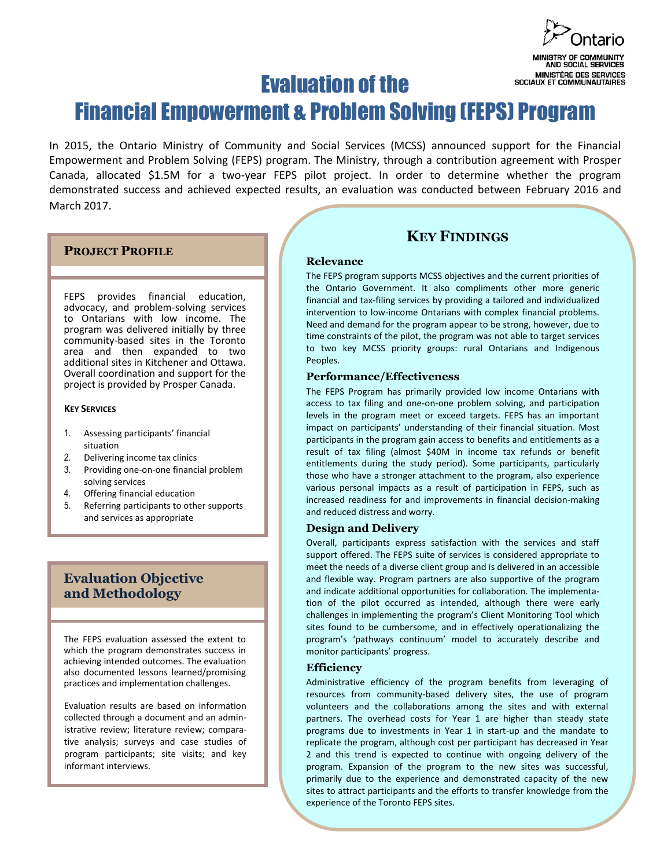

# Evaluation of the Financial Empowerment & Problem Solving (FEPS) Program

In 2015, the Ontario Ministry of Community and Social Services (MCSS) announced support for the Financial Empowerment and Problem Solving (FEPS) program. The Ministry, through a contribution agreement with Prosper Canada, allocated \$1.5M for a two-year FEPS pilot project. In order to determine whether the program demonstrated success and achieved expected results, an evaluation was conducted between February 2016 and March 2017.

#### **PROJECT PROFILE**

FEPS provides financial education, advocacy, and problem-solving services to Ontarians with low income. The program was delivered initially by three community-based sites in the Toronto area and then expanded to two additional sites in Kitchener and Ottawa. Overall coordination and support for the project is provided by Prosper Canada.

#### **KEY SERVICES**

- 1. Assessing participants' financial situation
- 2. Delivering income tax clinics
- 3. Providing one-on-one financial problem solving services
- 4. Offering financial education
- 5. Referring participants to other supports and services as appropriate

### **Evaluation Objective and Methodology**

The FEPS evaluation assessed the extent to which the program demonstrates success in achieving intended outcomes. The evaluation also documented lessons learned/promising practices and implementation challenges.

Evaluation results are based on information collected through a document and an administrative review; literature review; comparative analysis; surveys and case studies of program participants; site visits; and key informant interviews.

## **KEY FINDINGS**

#### **Relevance**

The FEPS program supports MCSS objectives and the current priorities of the Ontario Government. It also compliments other more generic financial and tax-filing services by providing a tailored and individualized intervention to low-income Ontarians with complex financial problems. Need and demand for the program appear to be strong, however, due to time constraints of the pilot, the program was not able to target services to two key MCSS priority groups: rural Ontarians and Indigenous Peoples.

#### **Performance/Effectiveness**

The FEPS Program has primarily provided low income Ontarians with access to tax filing and one-on-one problem solving, and participation levels in the program meet or exceed targets. FEPS has an important impact on participants' understanding of their financial situation. Most participants in the program gain access to benefits and entitlements as a result of tax filing (almost \$40M in income tax refunds or benefit entitlements during the study period). Some participants, particularly those who have a stronger attachment to the program, also experience various personal impacts as a result of participation in FEPS, such as increased readiness for and improvements in financial decision-making and reduced distress and worry.

#### **Design and Delivery**

Overall, participants express satisfaction with the services and staff support offered. The FEPS suite of services is considered appropriate to meet the needs of a diverse client group and is delivered in an accessible and flexible way. Program partners are also supportive of the program and indicate additional opportunities for collaboration. The implementation of the pilot occurred as intended, although there were early challenges in implementing the program's Client Monitoring Tool which sites found to be cumbersome, and in effectively operationalizing the program's 'pathways continuum' model to accurately describe and monitor participants' progress.

#### **Efficiency**

Administrative efficiency of the program benefits from leveraging of resources from community-based delivery sites, the use of program volunteers and the collaborations among the sites and with external partners. The overhead costs for Year 1 are higher than steady state programs due to investments in Year 1 in start-up and the mandate to replicate the program, although cost per participant has decreased in Year 2 and this trend is expected to continue with ongoing delivery of the program. Expansion of the program to the new sites was successful, primarily due to the experience and demonstrated capacity of the new sites to attract participants and the efforts to transfer knowledge from the experience of the Toronto FEPS sites.